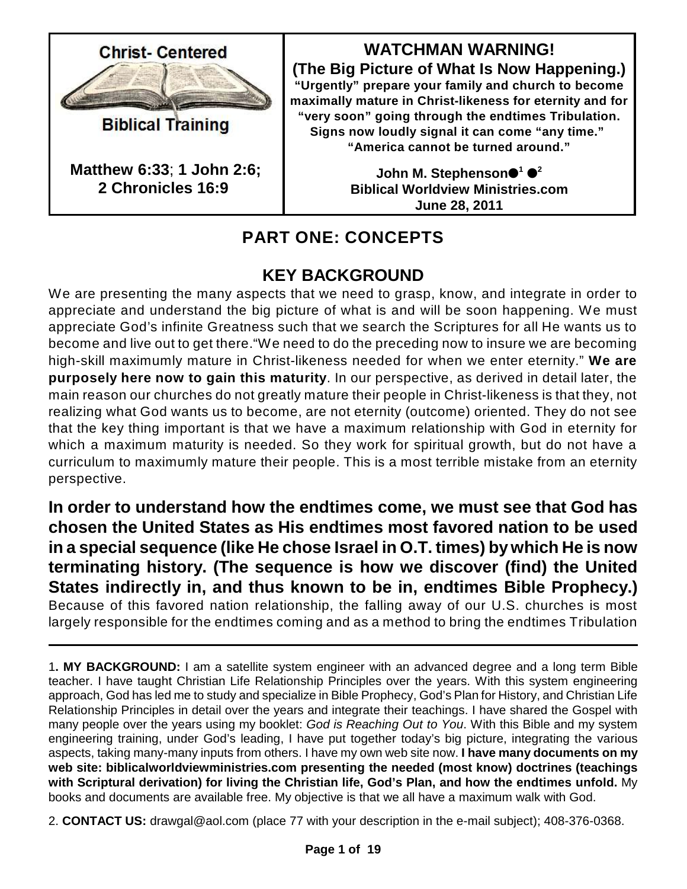

**Biblical Training** 

**Matthew 6:33**; **1 John 2:6; 2 Chronicles 16:9**

**WATCHMAN WARNING! (The Big Picture of What Is Now Happening.) "Urgently" prepare your family and church to become maximally mature in Christ-likeness for eternity and for "very soon" going through the endtimes Tribulation. Signs now loudly signal it can come "any time." "America cannot be turned around."**

> John M. Stephenson●<sup>1</sup> ●<sup>2</sup> **Biblical Worldview Ministries.com June 28, 2011**

# **PART ONE: CONCEPTS**

# **KEY BACKGROUND**

We are presenting the many aspects that we need to grasp, know, and integrate in order to appreciate and understand the big picture of what is and will be soon happening. We must appreciate God's infinite Greatness such that we search the Scriptures for all He wants us to become and live out to get there."We need to do the preceding now to insure we are becoming high-skill maximumly mature in Christ-likeness needed for when we enter eternity." **We are purposely here now to gain this maturity**. In our perspective, as derived in detail later, the main reason our churches do not greatly mature their people in Christ-likeness is that they, not realizing what God wants us to become, are not eternity (outcome) oriented. They do not see that the key thing important is that we have a maximum relationship with God in eternity for which a maximum maturity is needed. So they work for spiritual growth, but do not have a curriculum to maximumly mature their people. This is a most terrible mistake from an eternity perspective.

**In order to understand how the endtimes come, we must see that God has chosen the United States as His endtimes most favored nation to be used in a special sequence (like He chose Israel in O.T. times) bywhich He is now terminating history. (The sequence is how we discover (find) the United States indirectly in, and thus known to be in, endtimes Bible Prophecy.)** Because of this favored nation relationship, the falling away of our U.S. churches is most largely responsible for the endtimes coming and as a method to bring the endtimes Tribulation

2. **CONTACT US:** drawgal@aol.com (place 77 with your description in the e-mail subject); 408-376-0368.

<sup>1</sup>**. MY BACKGROUND:** I am a satellite system engineer with an advanced degree and a long term Bible teacher. I have taught Christian Life Relationship Principles over the years. With this system engineering approach, God has led me to study and specialize in Bible Prophecy, God's Plan for History, and Christian Life Relationship Principles in detail over the years and integrate their teachings. I have shared the Gospel with many people over the years using my booklet: *God is Reaching Out to You*. With this Bible and my system engineering training, under God's leading, I have put together today's big picture, integrating the various aspects, taking many-many inputs from others. I have my own web site now. **I have many documents on my web site: biblicalworldviewministries.com presenting the needed (most know) doctrines (teachings with Scriptural derivation) for living the Christian life, God's Plan, and how the endtimes unfold.** My books and documents are available free. My objective is that we all have a maximum walk with God.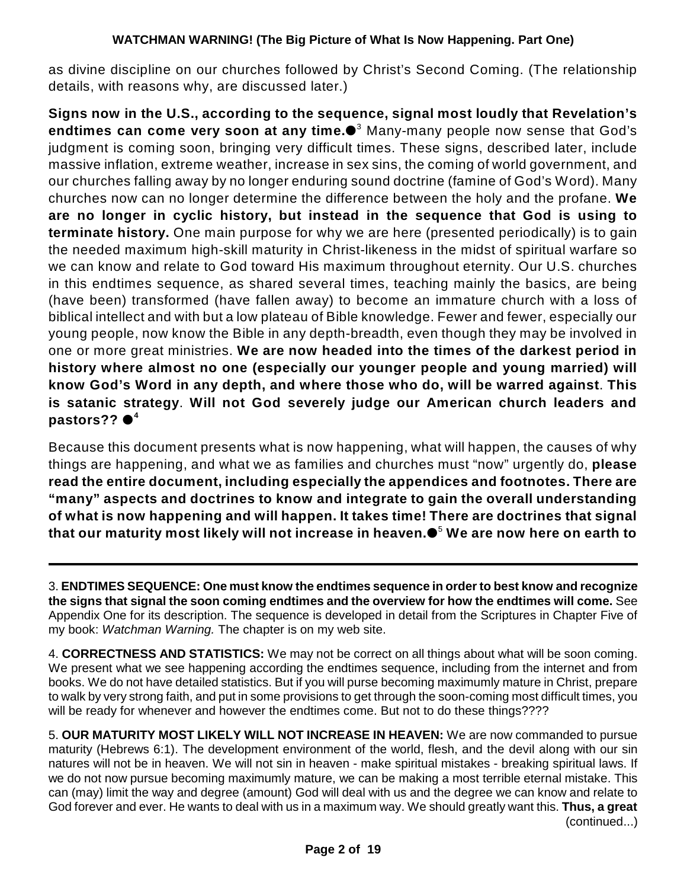as divine discipline on our churches followed by Christ's Second Coming. (The relationship details, with reasons why, are discussed later.)

**Signs now in the U.S., according to the sequence, signal most loudly that Revelation's endtimes can come very soon at any time.** Many-many people now sense that God's 3 judgment is coming soon, bringing very difficult times. These signs, described later, include massive inflation, extreme weather, increase in sex sins, the coming of world government, and our churches falling away by no longer enduring sound doctrine (famine of God's Word). Many churches now can no longer determine the difference between the holy and the profane. **We are no longer in cyclic history, but instead in the sequence that God is using to terminate history.** One main purpose for why we are here (presented periodically) is to gain the needed maximum high-skill maturity in Christ-likeness in the midst of spiritual warfare so we can know and relate to God toward His maximum throughout eternity. Our U.S. churches in this endtimes sequence, as shared several times, teaching mainly the basics, are being (have been) transformed (have fallen away) to become an immature church with a loss of biblical intellect and with but a low plateau of Bible knowledge. Fewer and fewer, especially our young people, now know the Bible in any depth-breadth, even though they may be involved in one or more great ministries. **We are now headed into the times of the darkest period in history where almost no one (especially our younger people and young married) will know God's Word in any depth, and where those who do, will be warred against**. **This is satanic strategy**. **Will not God severely judge our American church leaders and pastors?? 4**

Because this document presents what is now happening, what will happen, the causes of why things are happening, and what we as families and churches must "now" urgently do, **please read the entire document, including especially the appendices and footnotes. There are "many" aspects and doctrines to know and integrate to gain the overall understanding of what is now happening and will happen. It takes time! There are doctrines that signal that our maturity most likely will not increase in heaven. We are now here on earth to** 5

<sup>3.</sup> **ENDTIMES SEQUENCE: One must know the endtimes sequence in order to best know and recognize the signs that signal the soon coming endtimes and the overview for how the endtimes will come.** See Appendix One for its description. The sequence is developed in detail from the Scriptures in Chapter Five of my book: *Watchman Warning.* The chapter is on my web site.

<sup>4.</sup> **CORRECTNESS AND STATISTICS:** We may not be correct on all things about what will be soon coming. We present what we see happening according the endtimes sequence, including from the internet and from books. We do not have detailed statistics. But if you will purse becoming maximumly mature in Christ, prepare to walk by very strong faith, and put in some provisions to get through the soon-coming most difficult times, you will be ready for whenever and however the endtimes come. But not to do these things????

<sup>5.</sup> **OUR MATURITY MOST LIKELY WILL NOT INCREASE IN HEAVEN:** We are now commanded to pursue maturity (Hebrews 6:1). The development environment of the world, flesh, and the devil along with our sin natures will not be in heaven. We will not sin in heaven - make spiritual mistakes - breaking spiritual laws. If we do not now pursue becoming maximumly mature, we can be making a most terrible eternal mistake. This can (may) limit the way and degree (amount) God will deal with us and the degree we can know and relate to God forever and ever. He wants to deal with us in a maximum way. We should greatly want this. **Thus, a great** (continued...)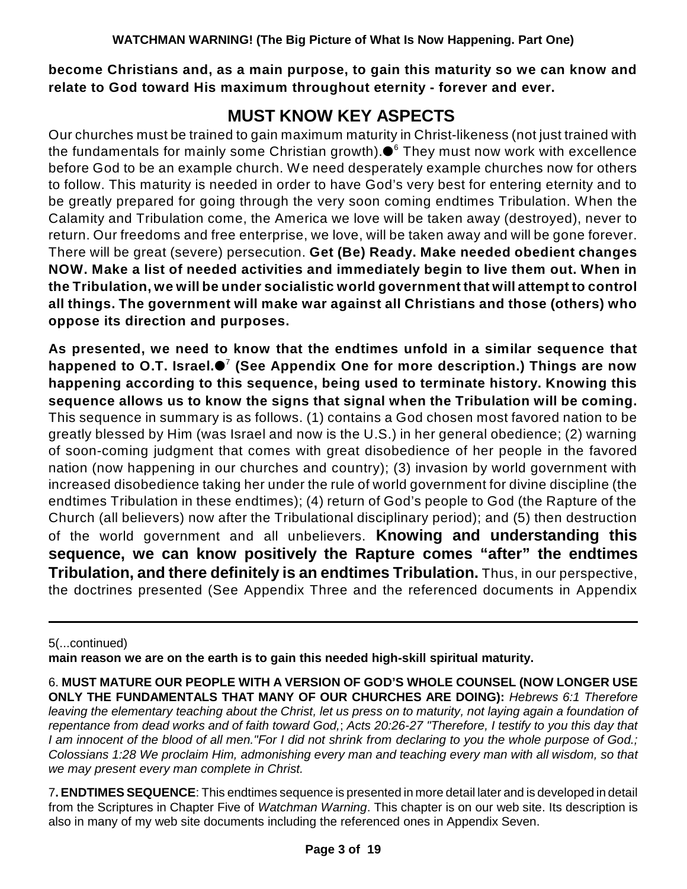**become Christians and, as a main purpose, to gain this maturity so we can know and relate to God toward His maximum throughout eternity - forever and ever.**

## **MUST KNOW KEY ASPECTS**

Our churches must be trained to gain maximum maturity in Christ-likeness (not just trained with the fundamentals for mainly some Christian growth). $\bullet^{\mathfrak s}$  They must now work with excellence before God to be an example church. We need desperately example churches now for others to follow. This maturity is needed in order to have God's very best for entering eternity and to be greatly prepared for going through the very soon coming endtimes Tribulation. When the Calamity and Tribulation come, the America we love will be taken away (destroyed), never to return. Our freedoms and free enterprise, we love, will be taken away and will be gone forever. There will be great (severe) persecution. **Get (Be) Ready. Make needed obedient changes NOW. Make a list of needed activities and immediately begin to live them out. When in the Tribulation, we will be under socialistic world government that will attempt to control all things. The government will make war against all Christians and those (others) who oppose its direction and purposes.**

**As presented, we need to know that the endtimes unfold in a similar sequence that happened to O.T. Israel. (See Appendix One for more description.) Things are now** 7 **happening according to this sequence, being used to terminate history. Knowing this sequence allows us to know the signs that signal when the Tribulation will be coming.** This sequence in summary is as follows. (1) contains a God chosen most favored nation to be greatly blessed by Him (was Israel and now is the U.S.) in her general obedience; (2) warning of soon-coming judgment that comes with great disobedience of her people in the favored nation (now happening in our churches and country); (3) invasion by world government with increased disobedience taking her under the rule of world government for divine discipline (the endtimes Tribulation in these endtimes); (4) return of God's people to God (the Rapture of the Church (all believers) now after the Tribulational disciplinary period); and (5) then destruction of the world government and all unbelievers. **Knowing and understanding this sequence, we can know positively the Rapture comes "after" the endtimes Tribulation, and there definitely is an endtimes Tribulation.** Thus, in our perspective, the doctrines presented (See Appendix Three and the referenced documents in Appendix

5(...continued)

**main reason we are on the earth is to gain this needed high-skill spiritual maturity.**

6. **MUST MATURE OUR PEOPLE WITH A VERSION OF GOD'S WHOLE COUNSEL (NOW LONGER USE ONLY THE FUNDAMENTALS THAT MANY OF OUR CHURCHES ARE DOING):** *Hebrews 6:1 Therefore leaving the elementary teaching about the Christ, let us press on to maturity, not laying again a foundation of repentance from dead works and of faith toward God,*; *Acts 20:26-27 "Therefore, I testify to you this day that I am innocent of the blood of all men."For I did not shrink from declaring to you the whole purpose of God.; Colossians 1:28 We proclaim Him, admonishing every man and teaching every man with all wisdom, so that we may present every man complete in Christ.*

7**. ENDTIMES SEQUENCE**: This endtimes sequence is presented in more detail later and is developed in detail from the Scriptures in Chapter Five of *Watchman Warning*. This chapter is on our web site. Its description is also in many of my web site documents including the referenced ones in Appendix Seven.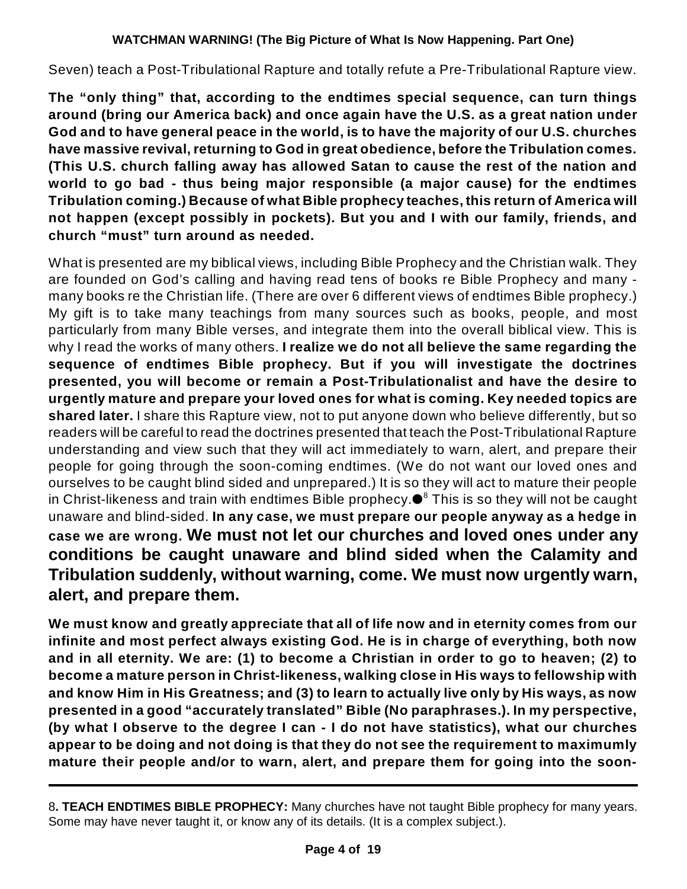Seven) teach a Post-Tribulational Rapture and totally refute a Pre-Tribulational Rapture view.

**The "only thing" that, according to the endtimes special sequence, can turn things around (bring our America back) and once again have the U.S. as a great nation under God and to have general peace in the world, is to have the majority of our U.S. churches have massive revival, returning to God in great obedience, before the Tribulation comes. (This U.S. church falling away has allowed Satan to cause the rest of the nation and world to go bad - thus being major responsible (a major cause) for the endtimes Tribulation coming.) Because of what Bible prophecy teaches, this return of America will not happen (except possibly in pockets). But you and I with our family, friends, and church "must" turn around as needed.**

What is presented are my biblical views, including Bible Prophecy and the Christian walk. They are founded on God's calling and having read tens of books re Bible Prophecy and many many books re the Christian life. (There are over 6 different views of endtimes Bible prophecy.) My gift is to take many teachings from many sources such as books, people, and most particularly from many Bible verses, and integrate them into the overall biblical view. This is why I read the works of many others. **I realize we do not all believe the same regarding the sequence of endtimes Bible prophecy. But if you will investigate the doctrines presented, you will become or remain a Post-Tribulationalist and have the desire to urgently mature and prepare your loved ones for what is coming. Key needed topics are shared later.** I share this Rapture view, not to put anyone down who believe differently, but so readers will be careful to read the doctrines presented that teach the Post-Tribulational Rapture understanding and view such that they will act immediately to warn, alert, and prepare their people for going through the soon-coming endtimes. (We do not want our loved ones and ourselves to be caught blind sided and unprepared.) It is so they will act to mature their people in Christ-likeness and train with endtimes Bible prophecy. $\bullet^{\text{s}}$  This is so they will not be caught unaware and blind-sided. **In any case, we must prepare our people anyway as a hedge in case we are wrong. We must not let our churches and loved ones under any conditions be caught unaware and blind sided when the Calamity and Tribulation suddenly, without warning, come. We must now urgently warn, alert, and prepare them.**

**We must know and greatly appreciate that all of life now and in eternity comes from our infinite and most perfect always existing God. He is in charge of everything, both now and in all eternity. We are: (1) to become a Christian in order to go to heaven; (2) to become a mature person in Christ-likeness, walking close in His ways to fellowship with and know Him in His Greatness; and (3) to learn to actually live only by His ways, as now presented in a good "accurately translated" Bible (No paraphrases.). In my perspective, (by what I observe to the degree I can - I do not have statistics), what our churches appear to be doing and not doing is that they do not see the requirement to maximumly mature their people and/or to warn, alert, and prepare them for going into the soon-**

<sup>8</sup>**. TEACH ENDTIMES BIBLE PROPHECY:** Many churches have not taught Bible prophecy for many years. Some may have never taught it, or know any of its details. (It is a complex subject.).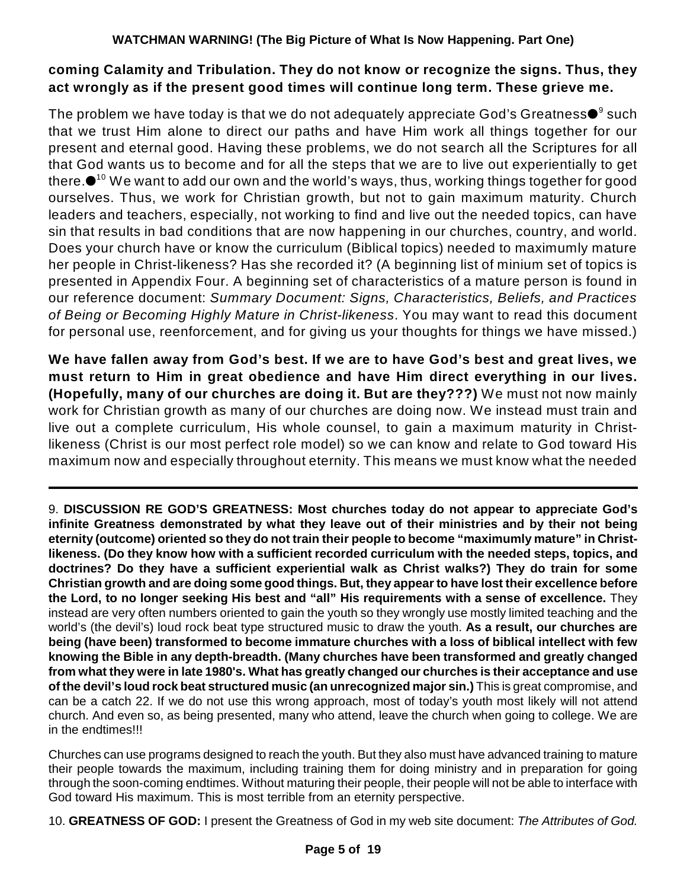### **coming Calamity and Tribulation. They do not know or recognize the signs. Thus, they act wrongly as if the present good times will continue long term. These grieve me.**

The problem we have today is that we do not adequately appreciate God's Greatness $\bullet^{\circ}$  such that we trust Him alone to direct our paths and have Him work all things together for our present and eternal good. Having these problems, we do not search all the Scriptures for all that God wants us to become and for all the steps that we are to live out experientially to get there. $\bullet$   $^{\text{10}}$  We want to add our own and the world's ways, thus, working things together for good ourselves. Thus, we work for Christian growth, but not to gain maximum maturity. Church leaders and teachers, especially, not working to find and live out the needed topics, can have sin that results in bad conditions that are now happening in our churches, country, and world. Does your church have or know the curriculum (Biblical topics) needed to maximumly mature her people in Christ-likeness? Has she recorded it? (A beginning list of minium set of topics is presented in Appendix Four. A beginning set of characteristics of a mature person is found in our reference document: *Summary Document: Signs, Characteristics, Beliefs, and Practices of Being or Becoming Highly Mature in Christ-likeness*. You may want to read this document for personal use, reenforcement, and for giving us your thoughts for things we have missed.)

**We have fallen away from God's best. If we are to have God's best and great lives, we must return to Him in great obedience and have Him direct everything in our lives. (Hopefully, many of our churches are doing it. But are they???)** We must not now mainly work for Christian growth as many of our churches are doing now. We instead must train and live out a complete curriculum, His whole counsel, to gain a maximum maturity in Christlikeness (Christ is our most perfect role model) so we can know and relate to God toward His maximum now and especially throughout eternity. This means we must know what the needed

9. **DISCUSSION RE GOD'S GREATNESS: Most churches today do not appear to appreciate God's infinite Greatness demonstrated by what they leave out of their ministries and by their not being eternity (outcome) oriented so they do not train their people to become "maximumly mature" in Christlikeness. (Do they know how with a sufficient recorded curriculum with the needed steps, topics, and doctrines? Do they have a sufficient experiential walk as Christ walks?) They do train for some Christian growth and are doing some good things. But, they appear to have lost their excellence before the Lord, to no longer seeking His best and "all" His requirements with a sense of excellence.** They instead are very often numbers oriented to gain the youth so they wrongly use mostly limited teaching and the world's (the devil's) loud rock beat type structured music to draw the youth. **As a result, our churches are being (have been) transformed to become immature churches with a loss of biblical intellect with few knowing the Bible in any depth-breadth. (Many churches have been transformed and greatly changed from what they were in late 1980's. What has greatly changed our churches is their acceptance and use of the devil's loud rock beat structured music (an unrecognized major sin.)** This is great compromise, and can be a catch 22. If we do not use this wrong approach, most of today's youth most likely will not attend church. And even so, as being presented, many who attend, leave the church when going to college. We are in the endtimes!!!

Churches can use programs designed to reach the youth. But they also must have advanced training to mature their people towards the maximum, including training them for doing ministry and in preparation for going through the soon-coming endtimes. Without maturing their people, their people will not be able to interface with God toward His maximum. This is most terrible from an eternity perspective.

10. **GREATNESS OF GOD:** I present the Greatness of God in my web site document: *The Attributes of God.*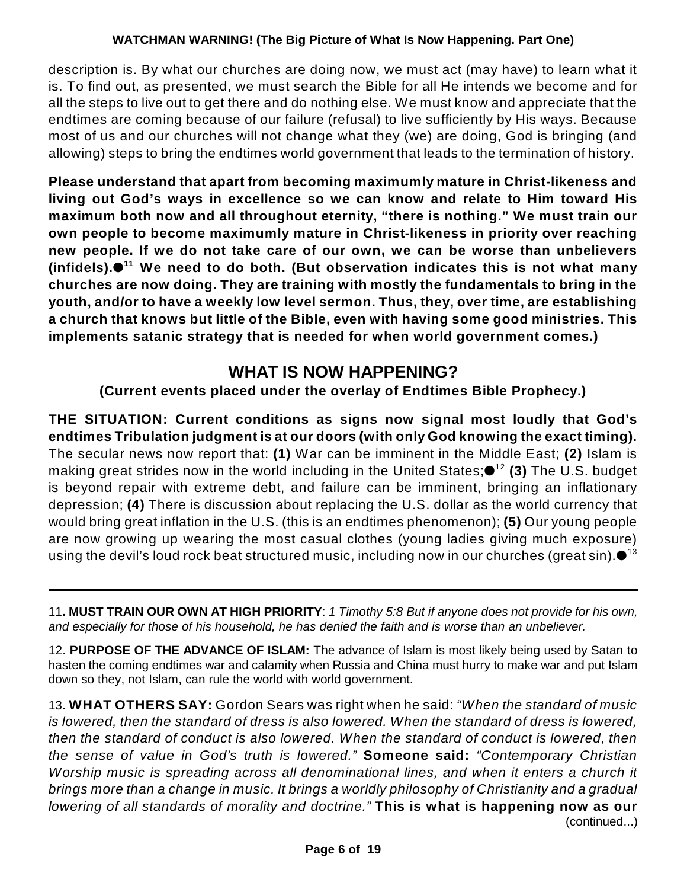description is. By what our churches are doing now, we must act (may have) to learn what it is. To find out, as presented, we must search the Bible for all He intends we become and for all the steps to live out to get there and do nothing else. We must know and appreciate that the endtimes are coming because of our failure (refusal) to live sufficiently by His ways. Because most of us and our churches will not change what they (we) are doing, God is bringing (and allowing) steps to bring the endtimes world government that leads to the termination of history.

**Please understand that apart from becoming maximumly mature in Christ-likeness and living out God's ways in excellence so we can know and relate to Him toward His maximum both now and all throughout eternity, "there is nothing." We must train our own people to become maximumly mature in Christ-likeness in priority over reaching new people. If we do not take care of our own, we can be worse than unbelievers (infidels). We need to do both. (But observation indicates this is not what many 11 churches are now doing. They are training with mostly the fundamentals to bring in the youth, and/or to have a weekly low level sermon. Thus, they, over time, are establishing a church that knows but little of the Bible, even with having some good ministries. This implements satanic strategy that is needed for when world government comes.)**

### **WHAT IS NOW HAPPENING?**

**(Current events placed under the overlay of Endtimes Bible Prophecy.)**

**THE SITUATION: Current conditions as signs now signal most loudly that God's endtimes Tribulation judgment is at our doors (with only God knowing the exact timing).** The secular news now report that: **(1)** War can be imminent in the Middle East; **(2)** Islam is making great strides now in the world including in the United States;●<sup>12</sup> **(3)** The U.S. budget is beyond repair with extreme debt, and failure can be imminent, bringing an inflationary depression; **(4)** There is discussion about replacing the U.S. dollar as the world currency that would bring great inflation in the U.S. (this is an endtimes phenomenon); **(5)** Our young people are now growing up wearing the most casual clothes (young ladies giving much exposure) using the devil's loud rock beat structured music, including now in our churches (great sin). $\bullet^{_{13}}$ 

11**. MUST TRAIN OUR OWN AT HIGH PRIORITY**: *1 Timothy 5:8 But if anyone does not provide for his own, and especially for those of his household, he has denied the faith and is worse than an unbeliever.*

12. **PURPOSE OF THE ADVANCE OF ISLAM:** The advance of Islam is most likely being used by Satan to hasten the coming endtimes war and calamity when Russia and China must hurry to make war and put Islam down so they, not Islam, can rule the world with world government.

13. **WHAT OTHERS SAY:** Gordon Sears was right when he said: *"When the standard of music is lowered, then the standard of dress is also lowered. When the standard of dress is lowered, then the standard of conduct is also lowered. When the standard of conduct is lowered, then the sense of value in God's truth is lowered."* **Someone said:** *"Contemporary Christian Worship music is spreading across all denominational lines, and when it enters a church it brings more than a change in music. It brings a worldly philosophy of Christianity and a gradual lowering of all standards of morality and doctrine."* **This is what is happening now as our** (continued...)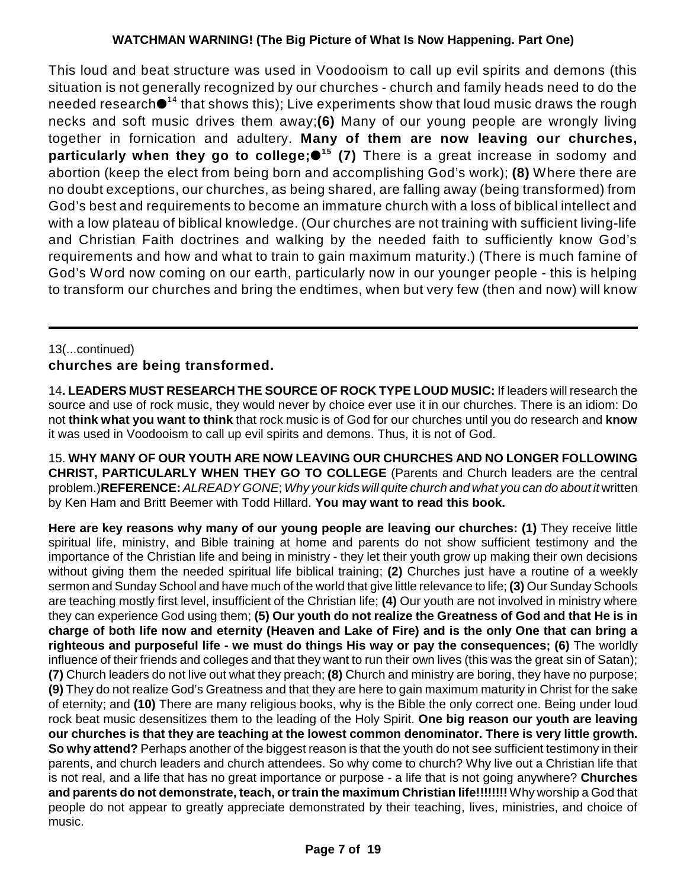This loud and beat structure was used in Voodooism to call up evil spirits and demons (this situation is not generally recognized by our churches - church and family heads need to do the needed research $\bullet^{_{14}}$  that shows this); Live experiments show that loud music draws the rough necks and soft music drives them away;**(6)** Many of our young people are wrongly living together in fornication and adultery. **Many of them are now leaving our churches, particularly when they go to college; (7)** There is a great increase in sodomy and **15** abortion (keep the elect from being born and accomplishing God's work); **(8)** Where there are no doubt exceptions, our churches, as being shared, are falling away (being transformed) from God's best and requirements to become an immature church with a loss of biblical intellect and with a low plateau of biblical knowledge. (Our churches are not training with sufficient living-life and Christian Faith doctrines and walking by the needed faith to sufficiently know God's requirements and how and what to train to gain maximum maturity.) (There is much famine of God's Word now coming on our earth, particularly now in our younger people - this is helping to transform our churches and bring the endtimes, when but very few (then and now) will know

#### 13(...continued)

#### **churches are being transformed.**

14**. LEADERS MUST RESEARCH THE SOURCE OF ROCK TYPE LOUD MUSIC:** If leaders will research the source and use of rock music, they would never by choice ever use it in our churches. There is an idiom: Do not **think what you want to think** that rock music is of God for our churches until you do research and **know** it was used in Voodooism to call up evil spirits and demons. Thus, it is not of God.

15. **WHY MANY OF OUR YOUTH ARE NOW LEAVING OUR CHURCHES AND NO LONGER FOLLOWING CHRIST, PARTICULARLY WHEN THEY GO TO COLLEGE** (Parents and Church leaders are the central problem.)**REFERENCE:** *ALREADY GONE*; *Why your kids will quite church and what you can do about it* written by Ken Ham and Britt Beemer with Todd Hillard. **You may want to read this book.** 

**Here are key reasons why many of our young people are leaving our churches: (1)** They receive little spiritual life, ministry, and Bible training at home and parents do not show sufficient testimony and the importance of the Christian life and being in ministry - they let their youth grow up making their own decisions without giving them the needed spiritual life biblical training; **(2)** Churches just have a routine of a weekly sermon and Sunday School and have much of the world that give little relevance to life; **(3)** Our Sunday Schools are teaching mostly first level, insufficient of the Christian life; **(4)** Our youth are not involved in ministry where they can experience God using them; **(5) Our youth do not realize the Greatness of God and that He is in charge of both life now and eternity (Heaven and Lake of Fire) and is the only One that can bring a righteous and purposeful life - we must do things His way or pay the consequences; (6)** The worldly influence of their friends and colleges and that they want to run their own lives (this was the great sin of Satan); **(7)** Church leaders do not live out what they preach; **(8)** Church and ministry are boring, they have no purpose; **(9)** They do not realize God's Greatness and that they are here to gain maximum maturity in Christ for the sake of eternity; and **(10)** There are many religious books, why is the Bible the only correct one. Being under loud rock beat music desensitizes them to the leading of the Holy Spirit. **One big reason our youth are leaving our churches is that they are teaching at the lowest common denominator. There is very little growth. So why attend?** Perhaps another of the biggest reason is that the youth do not see sufficient testimony in their parents, and church leaders and church attendees. So why come to church? Why live out a Christian life that is not real, and a life that has no great importance or purpose - a life that is not going anywhere? **Churches and parents do not demonstrate, teach, or train the maximum Christian life!!!!!!!!** Why worship a God that people do not appear to greatly appreciate demonstrated by their teaching, lives, ministries, and choice of music.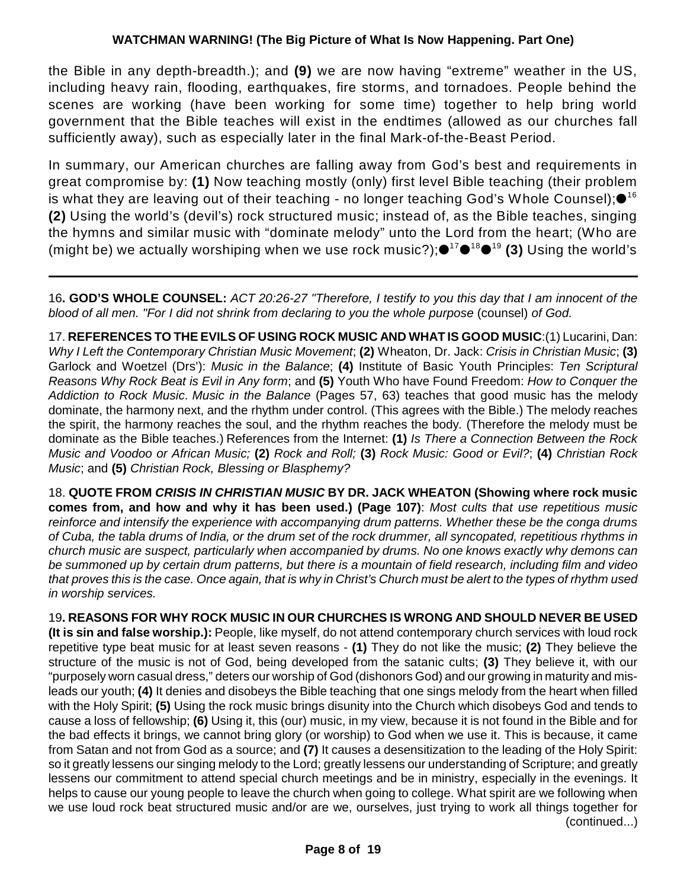the Bible in any depth-breadth.); and **(9)** we are now having "extreme" weather in the US, including heavy rain, flooding, earthquakes, fire storms, and tornadoes. People behind the scenes are working (have been working for some time) together to help bring world government that the Bible teaches will exist in the endtimes (allowed as our churches fall sufficiently away), such as especially later in the final Mark-of-the-Beast Period.

In summary, our American churches are falling away from God's best and requirements in great compromise by: **(1)** Now teaching mostly (only) first level Bible teaching (their problem is what they are leaving out of their teaching - no longer teaching God's Whole Counsel); $\bullet^{^{16}}$ **(2)** Using the world's (devil's) rock structured music; instead of, as the Bible teaches, singing the hymns and similar music with "dominate melody" unto the Lord from the heart; (Who are (might be) we actually worshiping when we use rock music?);●<sup>17</sup>●<sup>18</sup>●<sup>19</sup> (3) Using the world's

16**. GOD'S WHOLE COUNSEL:** *ACT 20:26-27 "Therefore, I testify to you this day that I am innocent of the blood of all men. "For I did not shrink from declaring to you the whole purpose (counsel) of God.* 

17. **REFERENCES TO THE EVILS OF USING ROCK MUSIC AND WHAT IS GOOD MUSIC**:(1) Lucarini, Dan: *Why I Left the Contemporary Christian Music Movement*; **(2)** Wheaton, Dr. Jack: *Crisis in Christian Music*; **(3)** Garlock and Woetzel (Drs'): *Music in the Balance*; **(4)** Institute of Basic Youth Principles: *Ten Scriptural Reasons Why Rock Beat is Evil in Any form*; and **(5)** Youth Who have Found Freedom: *How to Conquer the Addiction to Rock Music*. *Music in the Balance* (Pages 57, 63) teaches that good music has the melody dominate, the harmony next, and the rhythm under control. (This agrees with the Bible.) The melody reaches the spirit, the harmony reaches the soul, and the rhythm reaches the body*.* (Therefore the melody must be dominate as the Bible teaches.) References from the Internet: **(1)** *Is There a Connection Between the Rock Music and Voodoo or African Music;* **(2)** *Rock and Roll;* **(3)** *Rock Music: Good or Evil?*; **(4)** *Christian Rock Music*; and **(5)** *Christian Rock, Blessing or Blasphemy?*

18. **QUOTE FROM** *CRISIS IN CHRISTIAN MUSIC* **BY DR. JACK WHEATON (Showing where rock music comes from, and how and why it has been used.) (Page 107)**: *Most cults that use repetitious music reinforce and intensify the experience with accompanying drum patterns. Whether these be the conga drums of Cuba, the tabla drums of India, or the drum set of the rock drummer, all syncopated, repetitious rhythms in church music are suspect, particularly when accompanied by drums. No one knows exactly why demons can be summoned up by certain drum patterns, but there is a mountain of field research, including film and video that proves this is the case. Once again, that is why in Christ's Church must be alert to the types of rhythm used in worship services.*

19**. REASONS FOR WHY ROCK MUSIC IN OUR CHURCHES IS WRONG AND SHOULD NEVER BE USED (It is sin and false worship.):** People, like myself, do not attend contemporary church services with loud rock repetitive type beat music for at least seven reasons - **(1)** They do not like the music; **(2)** They believe the structure of the music is not of God, being developed from the satanic cults; **(3)** They believe it, with our "purposely worn casual dress," deters our worship of God (dishonors God) and our growing in maturity and misleads our youth; **(4)** It denies and disobeys the Bible teaching that one sings melody from the heart when filled with the Holy Spirit; **(5)** Using the rock music brings disunity into the Church which disobeys God and tends to cause a loss of fellowship; **(6)** Using it, this (our) music, in my view, because it is not found in the Bible and for the bad effects it brings, we cannot bring glory (or worship) to God when we use it. This is because, it came from Satan and not from God as a source; and **(7)** It causes a desensitization to the leading of the Holy Spirit: so it greatly lessens our singing melody to the Lord; greatly lessens our understanding of Scripture; and greatly lessens our commitment to attend special church meetings and be in ministry, especially in the evenings. It helps to cause our young people to leave the church when going to college. What spirit are we following when we use loud rock beat structured music and/or are we, ourselves, just trying to work all things together for (continued...)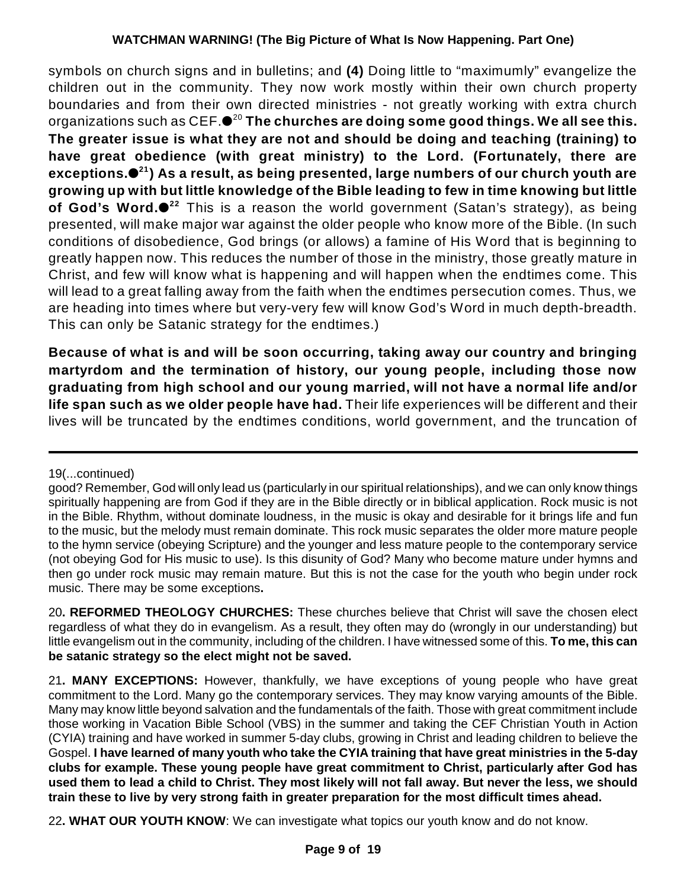symbols on church signs and in bulletins; and **(4)** Doing little to "maximumly" evangelize the children out in the community. They now work mostly within their own church property boundaries and from their own directed ministries - not greatly working with extra church organizations such as CEF. **The churches are doing some good things. We all see this.** 20 **The greater issue is what they are not and should be doing and teaching (training) to have great obedience (with great ministry) to the Lord. (Fortunately, there are exceptions. ) As a result, as being presented, large numbers of our church youth are 21 growing up with but little knowledge of the Bible leading to few in time knowing but little of God's Word.●**<sup>22</sup> This is a reason the world government (Satan's strategy), as being presented, will make major war against the older people who know more of the Bible. (In such conditions of disobedience, God brings (or allows) a famine of His Word that is beginning to greatly happen now. This reduces the number of those in the ministry, those greatly mature in Christ, and few will know what is happening and will happen when the endtimes come. This will lead to a great falling away from the faith when the endtimes persecution comes. Thus, we are heading into times where but very-very few will know God's Word in much depth-breadth. This can only be Satanic strategy for the endtimes.)

**Because of what is and will be soon occurring, taking away our country and bringing martyrdom and the termination of history, our young people, including those now graduating from high school and our young married, will not have a normal life and/or life span such as we older people have had.** Their life experiences will be different and their lives will be truncated by the endtimes conditions, world government, and the truncation of

19(...continued)

20**. REFORMED THEOLOGY CHURCHES:** These churches believe that Christ will save the chosen elect regardless of what they do in evangelism. As a result, they often may do (wrongly in our understanding) but little evangelism out in the community, including of the children. I have witnessed some of this. **To me, this can be satanic strategy so the elect might not be saved.**

21**. MANY EXCEPTIONS:** However, thankfully, we have exceptions of young people who have great commitment to the Lord. Many go the contemporary services. They may know varying amounts of the Bible. Many may know little beyond salvation and the fundamentals of the faith. Those with great commitment include those working in Vacation Bible School (VBS) in the summer and taking the CEF Christian Youth in Action (CYIA) training and have worked in summer 5-day clubs, growing in Christ and leading children to believe the Gospel. **I have learned of many youth who take the CYIA training that have great ministries in the 5-day clubs for example. These young people have great commitment to Christ, particularly after God has used them to lead a child to Christ. They most likely will not fall away. But never the less, we should train these to live by very strong faith in greater preparation for the most difficult times ahead.**

22**. WHAT OUR YOUTH KNOW**: We can investigate what topics our youth know and do not know.

good? Remember, God will only lead us (particularly in our spiritual relationships), and we can only know things spiritually happening are from God if they are in the Bible directly or in biblical application. Rock music is not in the Bible. Rhythm, without dominate loudness, in the music is okay and desirable for it brings life and fun to the music, but the melody must remain dominate. This rock music separates the older more mature people to the hymn service (obeying Scripture) and the younger and less mature people to the contemporary service (not obeying God for His music to use). Is this disunity of God? Many who become mature under hymns and then go under rock music may remain mature. But this is not the case for the youth who begin under rock music. There may be some exceptions**.**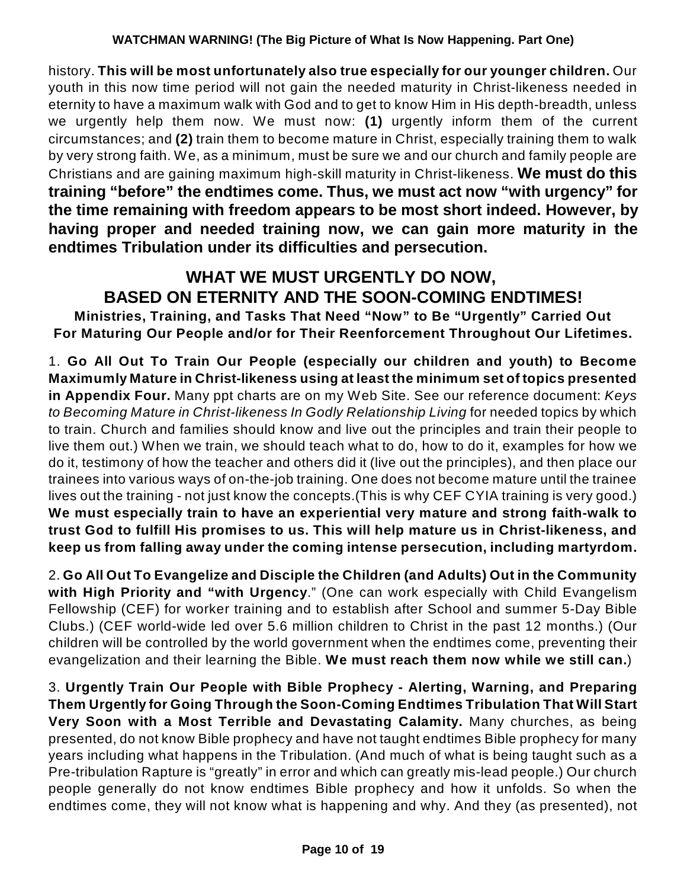history. **This will be most unfortunately also true especially for our younger children.** Our youth in this now time period will not gain the needed maturity in Christ-likeness needed in eternity to have a maximum walk with God and to get to know Him in His depth-breadth, unless we urgently help them now. We must now: **(1)** urgently inform them of the current circumstances; and **(2)** train them to become mature in Christ, especially training them to walk by very strong faith. We, as a minimum, must be sure we and our church and family people are Christians and are gaining maximum high-skill maturity in Christ-likeness. **We must do this training "before" the endtimes come. Thus, we must act now "with urgency" for the time remaining with freedom appears to be most short indeed. However, by having proper and needed training now, we can gain more maturity in the endtimes Tribulation under its difficulties and persecution.**

# **WHAT WE MUST URGENTLY DO NOW, BASED ON ETERNITY AND THE SOON-COMING ENDTIMES!**

**Ministries, Training, and Tasks That Need "Now" to Be "Urgently" Carried Out For Maturing Our People and/or for Their Reenforcement Throughout Our Lifetimes.**

1. **Go All Out To Train Our People (especially our children and youth) to Become Maximumly Mature in Christ-likeness using at least the minimum set of topics presented in Appendix Four.** Many ppt charts are on my Web Site. See our reference document: *Keys to Becoming Mature in Christ-likeness In Godly Relationship Living* for needed topics by which to train. Church and families should know and live out the principles and train their people to live them out.) When we train, we should teach what to do, how to do it, examples for how we do it, testimony of how the teacher and others did it (live out the principles), and then place our trainees into various ways of on-the-job training. One does not become mature until the trainee lives out the training - not just know the concepts.(This is why CEF CYIA training is very good.) **We must especially train to have an experiential very mature and strong faith-walk to trust God to fulfill His promises to us. This will help mature us in Christ-likeness, and keep us from falling away under the coming intense persecution, including martyrdom.**

2. **Go All Out To Evangelize and Disciple the Children (and Adults) Out in the Community with High Priority and "with Urgency**." (One can work especially with Child Evangelism Fellowship (CEF) for worker training and to establish after School and summer 5-Day Bible Clubs.) (CEF world-wide led over 5.6 million children to Christ in the past 12 months.) (Our children will be controlled by the world government when the endtimes come, preventing their evangelization and their learning the Bible. **We must reach them now while we still can.**)

3. **Urgently Train Our People with Bible Prophecy - Alerting, Warning, and Preparing Them Urgently for Going Through the Soon-Coming Endtimes Tribulation That Will Start Very Soon with a Most Terrible and Devastating Calamity.** Many churches, as being presented, do not know Bible prophecy and have not taught endtimes Bible prophecy for many years including what happens in the Tribulation. (And much of what is being taught such as a Pre-tribulation Rapture is "greatly" in error and which can greatly mis-lead people.) Our church people generally do not know endtimes Bible prophecy and how it unfolds. So when the endtimes come, they will not know what is happening and why. And they (as presented), not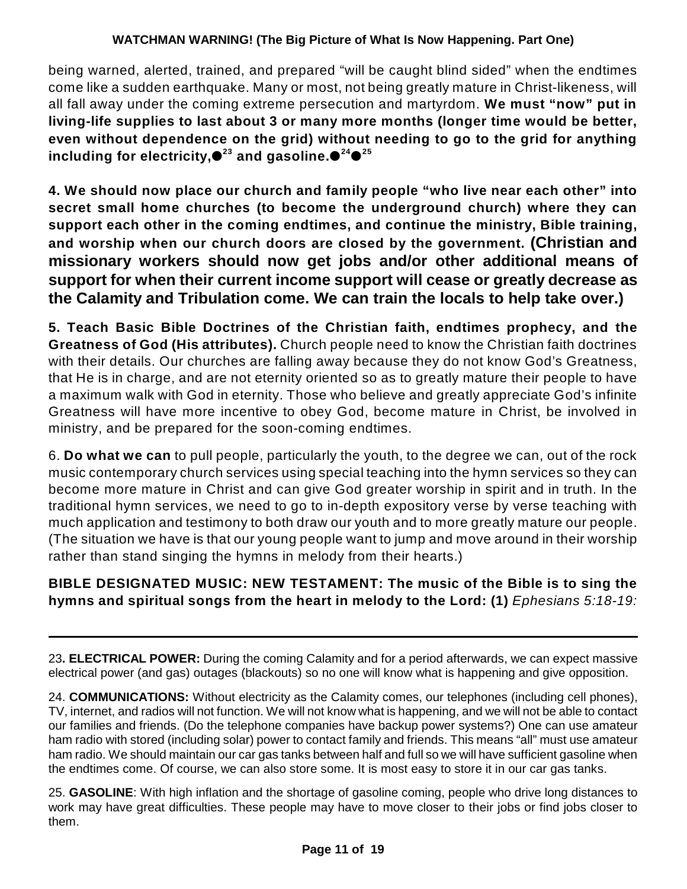being warned, alerted, trained, and prepared "will be caught blind sided" when the endtimes come like a sudden earthquake. Many or most, not being greatly mature in Christ-likeness, will all fall away under the coming extreme persecution and martyrdom. **We must "now" put in living-life supplies to last about 3 or many more months (longer time would be better, even without dependence on the grid) without needing to go to the grid for anything including for electricity, and gasoline. 23 24 25**

**4. We should now place our church and family people "who live near each other" into secret small home churches (to become the underground church) where they can support each other in the coming endtimes, and continue the ministry, Bible training, and worship when our church doors are closed by the government. (Christian and missionary workers should now get jobs and/or other additional means of support for when their current income support will cease or greatly decrease as the Calamity and Tribulation come. We can train the locals to help take over.)**

**5. Teach Basic Bible Doctrines of the Christian faith, endtimes prophecy, and the Greatness of God (His attributes).** Church people need to know the Christian faith doctrines with their details. Our churches are falling away because they do not know God's Greatness, that He is in charge, and are not eternity oriented so as to greatly mature their people to have a maximum walk with God in eternity. Those who believe and greatly appreciate God's infinite Greatness will have more incentive to obey God, become mature in Christ, be involved in ministry, and be prepared for the soon-coming endtimes.

6. **Do what we can** to pull people, particularly the youth, to the degree we can, out of the rock music contemporary church services using special teaching into the hymn services so they can become more mature in Christ and can give God greater worship in spirit and in truth. In the traditional hymn services, we need to go to in-depth expository verse by verse teaching with much application and testimony to both draw our youth and to more greatly mature our people. (The situation we have is that our young people want to jump and move around in their worship rather than stand singing the hymns in melody from their hearts.)

### **BIBLE DESIGNATED MUSIC: NEW TESTAMENT: The music of the Bible is to sing the hymns and spiritual songs from the heart in melody to the Lord: (1)** *Ephesians 5:18-19:*

23**. ELECTRICAL POWER:** During the coming Calamity and for a period afterwards, we can expect massive electrical power (and gas) outages (blackouts) so no one will know what is happening and give opposition.

24. **COMMUNICATIONS:** Without electricity as the Calamity comes, our telephones (including cell phones), TV, internet, and radios will not function. We will not know what is happening, and we will not be able to contact our families and friends. (Do the telephone companies have backup power systems?) One can use amateur ham radio with stored (including solar) power to contact family and friends. This means "all" must use amateur ham radio. We should maintain our car gas tanks between half and full so we will have sufficient gasoline when the endtimes come. Of course, we can also store some. It is most easy to store it in our car gas tanks.

25. **GASOLINE**: With high inflation and the shortage of gasoline coming, people who drive long distances to work may have great difficulties. These people may have to move closer to their jobs or find jobs closer to them.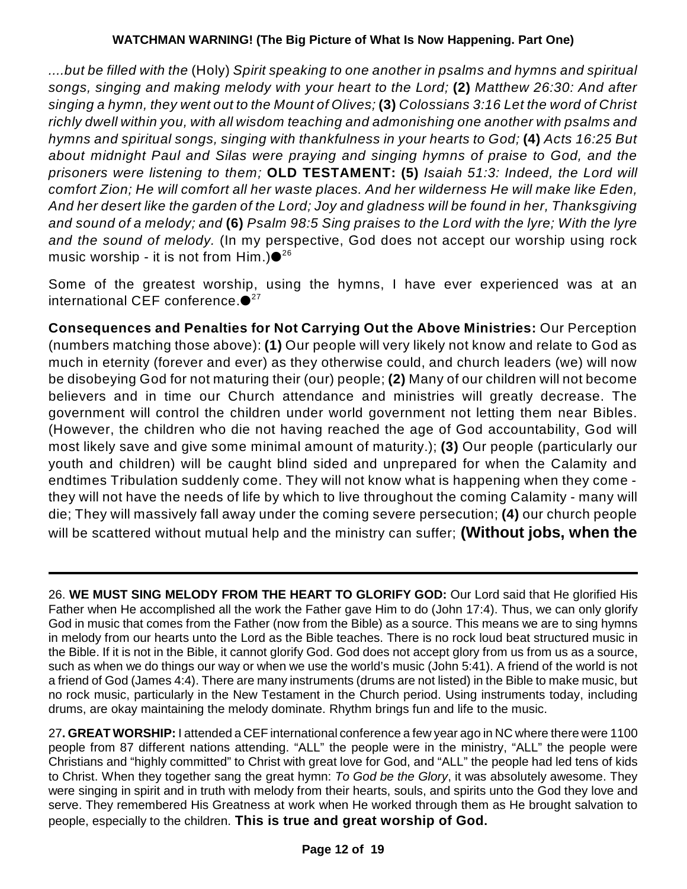*....but be filled with the* (Holy) *Spirit speaking to one another in psalms and hymns and spiritual songs, singing and making melody with your heart to the Lord;* **(2)** *Matthew 26:30: And after* singing a hymn, they went out to the Mount of Olives; (3) Colossians 3:16 Let the word of Christ *richly dwell within you, with all wisdom teaching and admonishing one another with psalms and hymns and spiritual songs, singing with thankfulness in your hearts to God;* **(4)** *Acts 16:25 But about midnight Paul and Silas were praying and singing hymns of praise to God, and the prisoners were listening to them;* **OLD TESTAMENT: (5)** *Isaiah 51:3: Indeed, the Lord will comfort Zion; He will comfort all her waste places. And her wilderness He will make like Eden, And her desert like the garden of the Lord; Joy and gladness will be found in her, Thanksgiving* and sound of a melody; and (6) Psalm 98:5 Sing praises to the Lord with the lyre; With the lyre *and the sound of melody.* (In my perspective, God does not accept our worship using rock music worship - it is not from Him.) $\mathord{\bullet}^{\scriptscriptstyle 26}$ 

Some of the greatest worship, using the hymns, I have ever experienced was at an international CEF conference.●<sup>27</sup>

**Consequences and Penalties for Not Carrying Out the Above Ministries:** Our Perception (numbers matching those above): **(1)** Our people will very likely not know and relate to God as much in eternity (forever and ever) as they otherwise could, and church leaders (we) will now be disobeying God for not maturing their (our) people; **(2)** Many of our children will not become believers and in time our Church attendance and ministries will greatly decrease. The government will control the children under world government not letting them near Bibles. (However, the children who die not having reached the age of God accountability, God will most likely save and give some minimal amount of maturity.); **(3)** Our people (particularly our youth and children) will be caught blind sided and unprepared for when the Calamity and endtimes Tribulation suddenly come. They will not know what is happening when they come they will not have the needs of life by which to live throughout the coming Calamity - many will die; They will massively fall away under the coming severe persecution; **(4)** our church people will be scattered without mutual help and the ministry can suffer; **(Without jobs, when the**

26. **WE MUST SING MELODY FROM THE HEART TO GLORIFY GOD:** Our Lord said that He glorified His Father when He accomplished all the work the Father gave Him to do (John 17:4). Thus, we can only glorify God in music that comes from the Father (now from the Bible) as a source. This means we are to sing hymns in melody from our hearts unto the Lord as the Bible teaches. There is no rock loud beat structured music in the Bible. If it is not in the Bible, it cannot glorify God. God does not accept glory from us from us as a source, such as when we do things our way or when we use the world's music (John 5:41). A friend of the world is not a friend of God (James 4:4). There are many instruments (drums are not listed) in the Bible to make music, but no rock music, particularly in the New Testament in the Church period. Using instruments today, including drums, are okay maintaining the melody dominate. Rhythm brings fun and life to the music.

27**. GREAT WORSHIP:** I attended a CEF international conference a few year ago in NC where there were 1100 people from 87 different nations attending. "ALL" the people were in the ministry, "ALL" the people were Christians and "highly committed" to Christ with great love for God, and "ALL" the people had led tens of kids to Christ. When they together sang the great hymn: *To God be the Glory*, it was absolutely awesome. They were singing in spirit and in truth with melody from their hearts, souls, and spirits unto the God they love and serve. They remembered His Greatness at work when He worked through them as He brought salvation to people, especially to the children. **This is true and great worship of God.**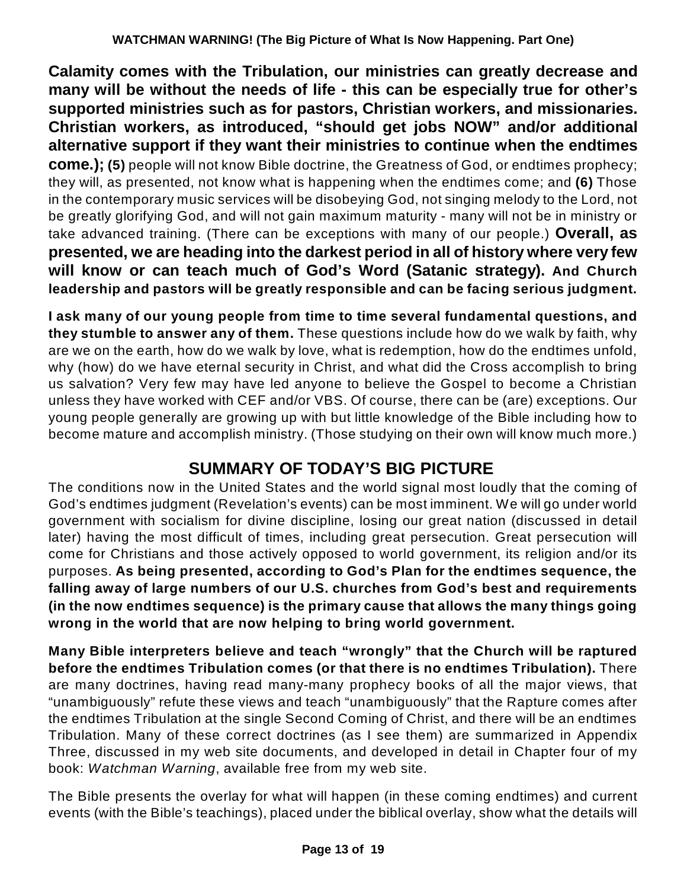**Calamity comes with the Tribulation, our ministries can greatly decrease and many will be without the needs of life - this can be especially true for other's supported ministries such as for pastors, Christian workers, and missionaries. Christian workers, as introduced, "should get jobs NOW" and/or additional alternative support if they want their ministries to continue when the endtimes come.); (5)** people will not know Bible doctrine, the Greatness of God, or endtimes prophecy; they will, as presented, not know what is happening when the endtimes come; and **(6)** Those in the contemporary music services will be disobeying God, not singing melody to the Lord, not be greatly glorifying God, and will not gain maximum maturity - many will not be in ministry or take advanced training. (There can be exceptions with many of our people.) **Overall, as presented, we are heading into the darkest period in all of history where very few will know or can teach much of God's Word (Satanic strategy). And Church leadership and pastors will be greatly responsible and can be facing serious judgment.**

**I ask many of our young people from time to time several fundamental questions, and they stumble to answer any of them.** These questions include how do we walk by faith, why are we on the earth, how do we walk by love, what is redemption, how do the endtimes unfold, why (how) do we have eternal security in Christ, and what did the Cross accomplish to bring us salvation? Very few may have led anyone to believe the Gospel to become a Christian unless they have worked with CEF and/or VBS. Of course, there can be (are) exceptions. Our young people generally are growing up with but little knowledge of the Bible including how to become mature and accomplish ministry. (Those studying on their own will know much more.)

# **SUMMARY OF TODAY'S BIG PICTURE**

The conditions now in the United States and the world signal most loudly that the coming of God's endtimes judgment (Revelation's events) can be most imminent. We will go under world government with socialism for divine discipline, losing our great nation (discussed in detail later) having the most difficult of times, including great persecution. Great persecution will come for Christians and those actively opposed to world government, its religion and/or its purposes. **As being presented, according to God's Plan for the endtimes sequence, the falling away of large numbers of our U.S. churches from God's best and requirements (in the now endtimes sequence) is the primary cause that allows the many things going wrong in the world that are now helping to bring world government.**

**Many Bible interpreters believe and teach "wrongly" that the Church will be raptured before the endtimes Tribulation comes (or that there is no endtimes Tribulation).** There are many doctrines, having read many-many prophecy books of all the major views, that "unambiguously" refute these views and teach "unambiguously" that the Rapture comes after the endtimes Tribulation at the single Second Coming of Christ, and there will be an endtimes Tribulation. Many of these correct doctrines (as I see them) are summarized in Appendix Three, discussed in my web site documents, and developed in detail in Chapter four of my book: *Watchman Warning*, available free from my web site.

The Bible presents the overlay for what will happen (in these coming endtimes) and current events (with the Bible's teachings), placed under the biblical overlay, show what the details will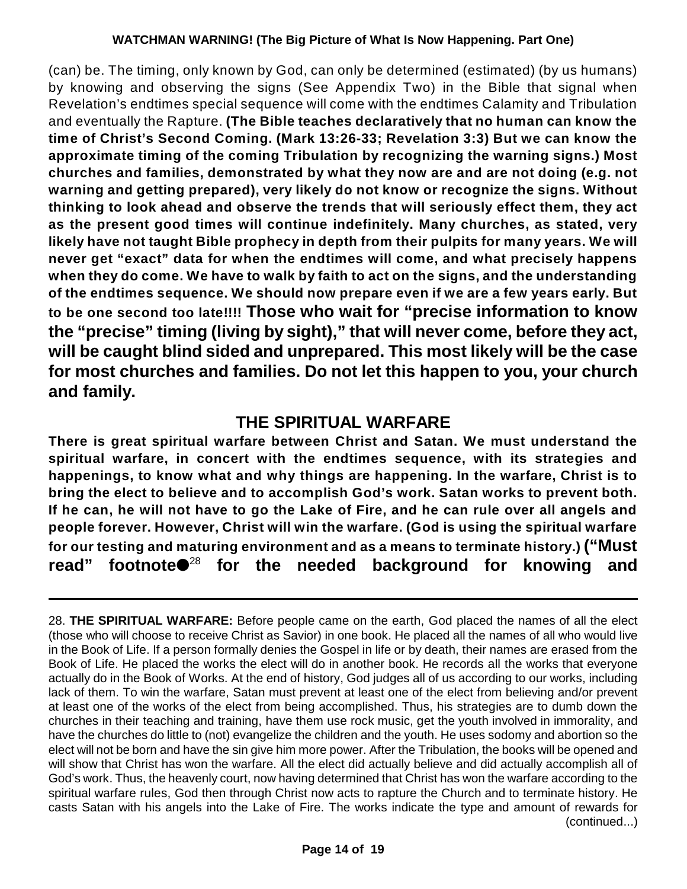(can) be. The timing, only known by God, can only be determined (estimated) (by us humans) by knowing and observing the signs (See Appendix Two) in the Bible that signal when Revelation's endtimes special sequence will come with the endtimes Calamity and Tribulation and eventually the Rapture. **(The Bible teaches declaratively that no human can know the time of Christ's Second Coming. (Mark 13:26-33; Revelation 3:3) But we can know the approximate timing of the coming Tribulation by recognizing the warning signs.) Most churches and families, demonstrated by what they now are and are not doing (e.g. not warning and getting prepared), very likely do not know or recognize the signs. Without thinking to look ahead and observe the trends that will seriously effect them, they act as the present good times will continue indefinitely. Many churches, as stated, very likely have not taught Bible prophecy in depth from their pulpits for many years. We will never get "exact" data for when the endtimes will come, and what precisely happens when they do come. We have to walk by faith to act on the signs, and the understanding of the endtimes sequence. We should now prepare even if we are a few years early. But to be one second too late!!!! Those who wait for "precise information to know the "precise" timing (living by sight)," that will never come, before they act, will be caught blind sided and unprepared. This most likely will be the case for most churches and families. Do not let this happen to you, your church and family.**

### **THE SPIRITUAL WARFARE**

**There is great spiritual warfare between Christ and Satan. We must understand the spiritual warfare, in concert with the endtimes sequence, with its strategies and happenings, to know what and why things are happening. In the warfare, Christ is to bring the elect to believe and to accomplish God's work. Satan works to prevent both.** If he can, he will not have to go the Lake of Fire, and he can rule over all angels and **people forever. However, Christ will win the warfare. (God is using the spiritual warfare for our testing and maturing environment and as a means to terminate history.) ("Must** read" footnote<sup>28</sup> for the needed background for knowing and

<sup>28.</sup> **THE SPIRITUAL WARFARE:** Before people came on the earth, God placed the names of all the elect (those who will choose to receive Christ as Savior) in one book. He placed all the names of all who would live in the Book of Life. If a person formally denies the Gospel in life or by death, their names are erased from the Book of Life. He placed the works the elect will do in another book. He records all the works that everyone actually do in the Book of Works. At the end of history, God judges all of us according to our works, including lack of them. To win the warfare, Satan must prevent at least one of the elect from believing and/or prevent at least one of the works of the elect from being accomplished. Thus, his strategies are to dumb down the churches in their teaching and training, have them use rock music, get the youth involved in immorality, and have the churches do little to (not) evangelize the children and the youth. He uses sodomy and abortion so the elect will not be born and have the sin give him more power. After the Tribulation, the books will be opened and will show that Christ has won the warfare. All the elect did actually believe and did actually accomplish all of God's work. Thus, the heavenly court, now having determined that Christ has won the warfare according to the spiritual warfare rules, God then through Christ now acts to rapture the Church and to terminate history. He casts Satan with his angels into the Lake of Fire. The works indicate the type and amount of rewards for (continued...)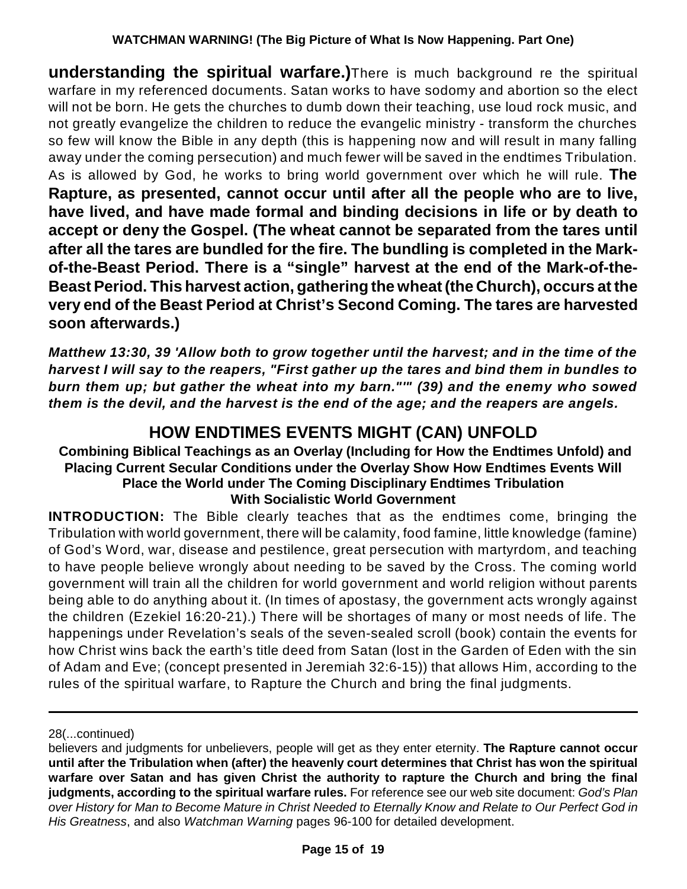**understanding the spiritual warfare.)**There is much background re the spiritual warfare in my referenced documents. Satan works to have sodomy and abortion so the elect will not be born. He gets the churches to dumb down their teaching, use loud rock music, and not greatly evangelize the children to reduce the evangelic ministry - transform the churches so few will know the Bible in any depth (this is happening now and will result in many falling away under the coming persecution) and much fewer will be saved in the endtimes Tribulation. As is allowed by God, he works to bring world government over which he will rule. **The Rapture, as presented, cannot occur until after all the people who are to live, have lived, and have made formal and binding decisions in life or by death to accept or deny the Gospel. (The wheat cannot be separated from the tares until after all the tares are bundled for the fire. The bundling is completed in the Markof-the-Beast Period. There is a "single" harvest at the end of the Mark-of-the-Beast Period. This harvest action, gathering the wheat (the Church), occurs at the very end of the Beast Period at Christ's Second Coming. The tares are harvested soon afterwards.)**

*Matthew 13:30, 39 'Allow both to grow together until the harvest; and in the time of the harvest I will say to the reapers, "First gather up the tares and bind them in bundles to burn them up; but gather the wheat into my barn."'" (39) and the enemy who sowed them is the devil, and the harvest is the end of the age; and the reapers are angels.*

## **HOW ENDTIMES EVENTS MIGHT (CAN) UNFOLD**

### **Combining Biblical Teachings as an Overlay (Including for How the Endtimes Unfold) and Placing Current Secular Conditions under the Overlay Show How Endtimes Events Will Place the World under The Coming Disciplinary Endtimes Tribulation With Socialistic World Government**

**INTRODUCTION:** The Bible clearly teaches that as the endtimes come, bringing the Tribulation with world government, there will be calamity, food famine, little knowledge (famine) of God's Word, war, disease and pestilence, great persecution with martyrdom, and teaching to have people believe wrongly about needing to be saved by the Cross. The coming world government will train all the children for world government and world religion without parents being able to do anything about it. (In times of apostasy, the government acts wrongly against the children (Ezekiel 16:20-21).) There will be shortages of many or most needs of life. The happenings under Revelation's seals of the seven-sealed scroll (book) contain the events for how Christ wins back the earth's title deed from Satan (lost in the Garden of Eden with the sin of Adam and Eve; (concept presented in Jeremiah 32:6-15)) that allows Him, according to the rules of the spiritual warfare, to Rapture the Church and bring the final judgments.

<sup>28(...</sup>continued)

believers and judgments for unbelievers, people will get as they enter eternity. **The Rapture cannot occur until after the Tribulation when (after) the heavenly court determines that Christ has won the spiritual warfare over Satan and has given Christ the authority to rapture the Church and bring the final judgments, according to the spiritual warfare rules.** For reference see our web site document: *God's Plan over History for Man to Become Mature in Christ Needed to Eternally Know and Relate to Our Perfect God in His Greatness*, and also *Watchman Warning* pages 96-100 for detailed development.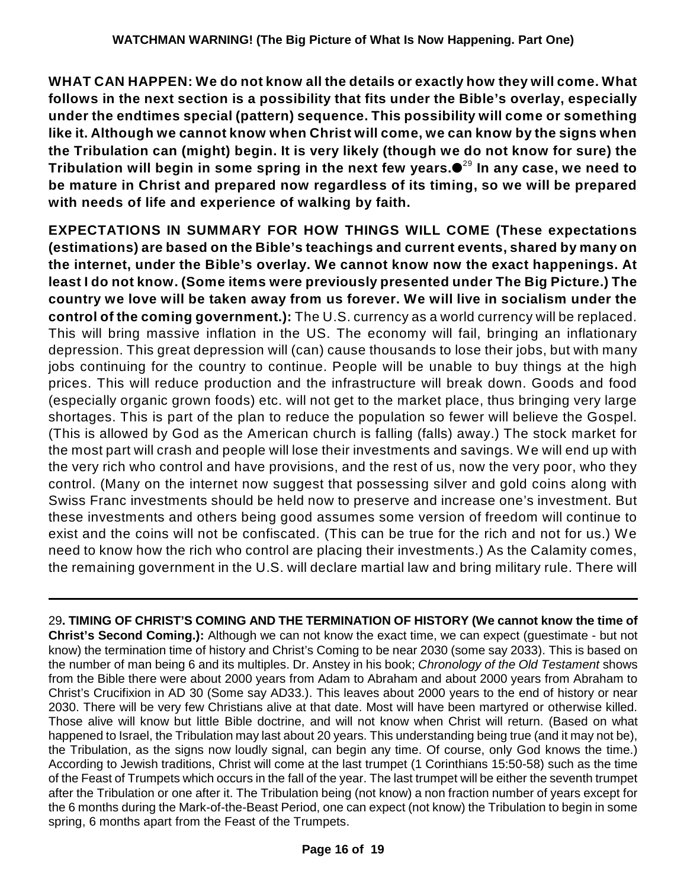**WHAT CAN HAPPEN: We do not know all the details or exactly how they will come. What follows in the next section is a possibility that fits under the Bible's overlay, especially under the endtimes special (pattern) sequence. This possibility will come or something like it. Although we cannot know when Christ will come, we can know by the signs when the Tribulation can (might) begin. It is very likely (though we do not know for sure) the Tribulation will begin in some spring in the next few years. In any case, we need to** 29 **be mature in Christ and prepared now regardless of its timing, so we will be prepared with needs of life and experience of walking by faith.**

**EXPECTATIONS IN SUMMARY FOR HOW THINGS WILL COME (These expectations (estimations) are based on the Bible's teachings and current events, shared by many on the internet, under the Bible's overlay. We cannot know now the exact happenings. At least I do not know. (Some items were previously presented under The Big Picture.) The country we love will be taken away from us forever. We will live in socialism under the control of the coming government.):** The U.S. currency as a world currency will be replaced. This will bring massive inflation in the US. The economy will fail, bringing an inflationary depression. This great depression will (can) cause thousands to lose their jobs, but with many jobs continuing for the country to continue. People will be unable to buy things at the high prices. This will reduce production and the infrastructure will break down. Goods and food (especially organic grown foods) etc. will not get to the market place, thus bringing very large shortages. This is part of the plan to reduce the population so fewer will believe the Gospel. (This is allowed by God as the American church is falling (falls) away.) The stock market for the most part will crash and people will lose their investments and savings. We will end up with the very rich who control and have provisions, and the rest of us, now the very poor, who they control. (Many on the internet now suggest that possessing silver and gold coins along with Swiss Franc investments should be held now to preserve and increase one's investment. But these investments and others being good assumes some version of freedom will continue to exist and the coins will not be confiscated. (This can be true for the rich and not for us.) We need to know how the rich who control are placing their investments.) As the Calamity comes, the remaining government in the U.S. will declare martial law and bring military rule. There will

29**. TIMING OF CHRIST'S COMING AND THE TERMINATION OF HISTORY (We cannot know the time of Christ's Second Coming.):** Although we can not know the exact time, we can expect (guestimate - but not know) the termination time of history and Christ's Coming to be near 2030 (some say 2033). This is based on the number of man being 6 and its multiples. Dr. Anstey in his book; *Chronology of the Old Testament* shows from the Bible there were about 2000 years from Adam to Abraham and about 2000 years from Abraham to Christ's Crucifixion in AD 30 (Some say AD33.). This leaves about 2000 years to the end of history or near 2030. There will be very few Christians alive at that date. Most will have been martyred or otherwise killed. Those alive will know but little Bible doctrine, and will not know when Christ will return. (Based on what happened to Israel, the Tribulation may last about 20 years. This understanding being true (and it may not be), the Tribulation, as the signs now loudly signal, can begin any time. Of course, only God knows the time.) According to Jewish traditions, Christ will come at the last trumpet (1 Corinthians 15:50-58) such as the time of the Feast of Trumpets which occurs in the fall of the year. The last trumpet will be either the seventh trumpet after the Tribulation or one after it. The Tribulation being (not know) a non fraction number of years except for the 6 months during the Mark-of-the-Beast Period, one can expect (not know) the Tribulation to begin in some spring, 6 months apart from the Feast of the Trumpets.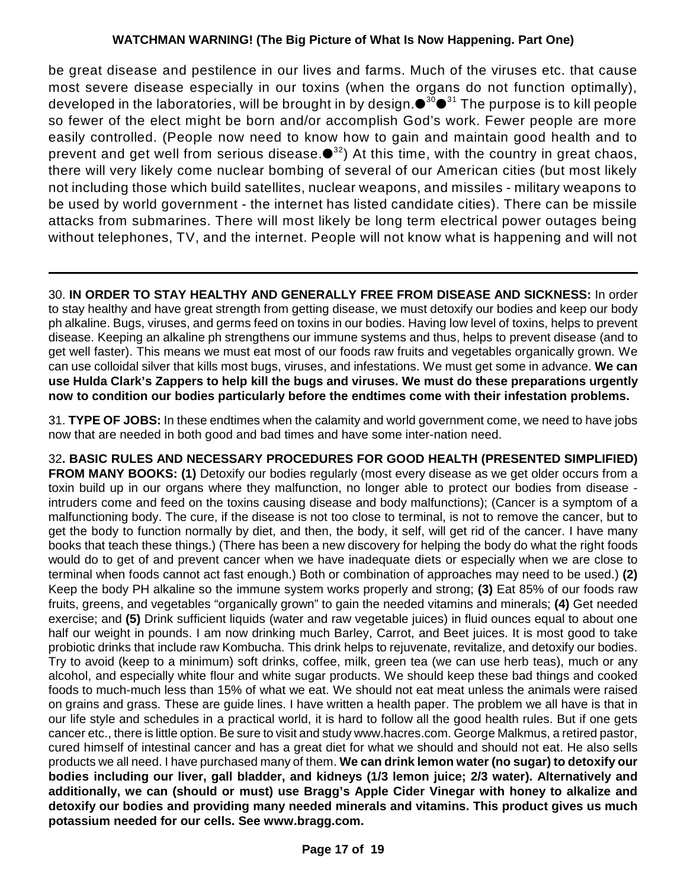be great disease and pestilence in our lives and farms. Much of the viruses etc. that cause most severe disease especially in our toxins (when the organs do not function optimally), developed in the laboratories, will be brought in by design. $\bullet^{30}\bullet^{31}$  The purpose is to kill people so fewer of the elect might be born and/or accomplish God's work. Fewer people are more easily controlled. (People now need to know how to gain and maintain good health and to prevent and get well from serious disease. $\bullet^{32})$  At this time, with the country in great chaos, there will very likely come nuclear bombing of several of our American cities (but most likely not including those which build satellites, nuclear weapons, and missiles - military weapons to be used by world government - the internet has listed candidate cities). There can be missile attacks from submarines. There will most likely be long term electrical power outages being without telephones, TV, and the internet. People will not know what is happening and will not

30. **IN ORDER TO STAY HEALTHY AND GENERALLY FREE FROM DISEASE AND SICKNESS:** In order to stay healthy and have great strength from getting disease, we must detoxify our bodies and keep our body ph alkaline. Bugs, viruses, and germs feed on toxins in our bodies. Having low level of toxins, helps to prevent disease. Keeping an alkaline ph strengthens our immune systems and thus, helps to prevent disease (and to get well faster). This means we must eat most of our foods raw fruits and vegetables organically grown. We can use colloidal silver that kills most bugs, viruses, and infestations. We must get some in advance. **We can use Hulda Clark's Zappers to help kill the bugs and viruses. We must do these preparations urgently now to condition our bodies particularly before the endtimes come with their infestation problems.**

31. **TYPE OF JOBS:** In these endtimes when the calamity and world government come, we need to have jobs now that are needed in both good and bad times and have some inter-nation need.

32**. BASIC RULES AND NECESSARY PROCEDURES FOR GOOD HEALTH (PRESENTED SIMPLIFIED) FROM MANY BOOKS: (1)** Detoxify our bodies regularly (most every disease as we get older occurs from a toxin build up in our organs where they malfunction, no longer able to protect our bodies from disease intruders come and feed on the toxins causing disease and body malfunctions); (Cancer is a symptom of a malfunctioning body. The cure, if the disease is not too close to terminal, is not to remove the cancer, but to get the body to function normally by diet, and then, the body, it self, will get rid of the cancer. I have many books that teach these things.) (There has been a new discovery for helping the body do what the right foods would do to get of and prevent cancer when we have inadequate diets or especially when we are close to terminal when foods cannot act fast enough.) Both or combination of approaches may need to be used.) **(2)** Keep the body PH alkaline so the immune system works properly and strong; **(3)** Eat 85% of our foods raw fruits, greens, and vegetables "organically grown" to gain the needed vitamins and minerals; **(4)** Get needed exercise; and **(5)** Drink sufficient liquids (water and raw vegetable juices) in fluid ounces equal to about one half our weight in pounds. I am now drinking much Barley, Carrot, and Beet juices. It is most good to take probiotic drinks that include raw Kombucha. This drink helps to rejuvenate, revitalize, and detoxify our bodies. Try to avoid (keep to a minimum) soft drinks, coffee, milk, green tea (we can use herb teas), much or any alcohol, and especially white flour and white sugar products. We should keep these bad things and cooked foods to much-much less than 15% of what we eat. We should not eat meat unless the animals were raised on grains and grass. These are guide lines. I have written a health paper. The problem we all have is that in our life style and schedules in a practical world, it is hard to follow all the good health rules. But if one gets cancer etc., there is little option. Be sure to visit and study www.hacres.com. George Malkmus, a retired pastor, cured himself of intestinal cancer and has a great diet for what we should and should not eat. He also sells products we all need. I have purchased many of them. **We can drink lemon water (no sugar) to detoxify our bodies including our liver, gall bladder, and kidneys (1/3 lemon juice; 2/3 water). Alternatively and additionally, we can (should or must) use Bragg's Apple Cider Vinegar with honey to alkalize and detoxify our bodies and providing many needed minerals and vitamins. This product gives us much potassium needed for our cells. See www.bragg.com.**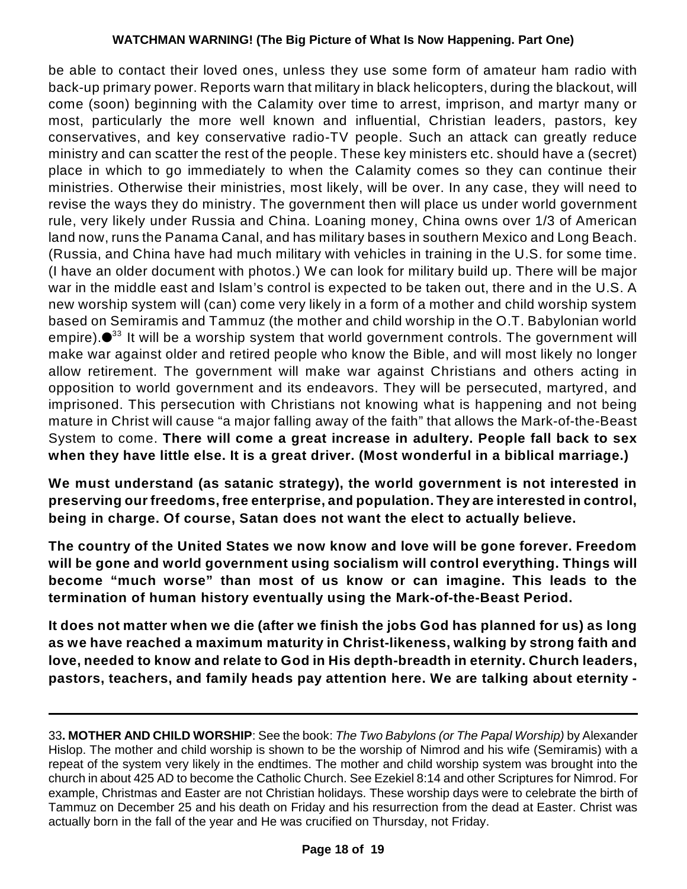be able to contact their loved ones, unless they use some form of amateur ham radio with back-up primary power. Reports warn that military in black helicopters, during the blackout, will come (soon) beginning with the Calamity over time to arrest, imprison, and martyr many or most, particularly the more well known and influential, Christian leaders, pastors, key conservatives, and key conservative radio-TV people. Such an attack can greatly reduce ministry and can scatter the rest of the people. These key ministers etc. should have a (secret) place in which to go immediately to when the Calamity comes so they can continue their ministries. Otherwise their ministries, most likely, will be over. In any case, they will need to revise the ways they do ministry. The government then will place us under world government rule, very likely under Russia and China. Loaning money, China owns over 1/3 of American land now, runs the Panama Canal, and has military bases in southern Mexico and Long Beach. (Russia, and China have had much military with vehicles in training in the U.S. for some time. (I have an older document with photos.) We can look for military build up. There will be major war in the middle east and Islam's control is expected to be taken out, there and in the U.S. A new worship system will (can) come very likely in a form of a mother and child worship system based on Semiramis and Tammuz (the mother and child worship in the O.T. Babylonian world empire). $\bullet^{33}$  It will be a worship system that world government controls. The government will make war against older and retired people who know the Bible, and will most likely no longer allow retirement. The government will make war against Christians and others acting in opposition to world government and its endeavors. They will be persecuted, martyred, and imprisoned. This persecution with Christians not knowing what is happening and not being mature in Christ will cause "a major falling away of the faith" that allows the Mark-of-the-Beast System to come. **There will come a great increase in adultery. People fall back to sex when they have little else. It is a great driver. (Most wonderful in a biblical marriage.)**

**We must understand (as satanic strategy), the world government is not interested in preserving our freedoms, free enterprise, and population. They are interested in control, being in charge. Of course, Satan does not want the elect to actually believe.**

**The country of the United States we now know and love will be gone forever. Freedom will be gone and world government using socialism will control everything. Things will become "much worse" than most of us know or can imagine. This leads to the termination of human history eventually using the Mark-of-the-Beast Period.**

**It does not matter when we die (after we finish the jobs God has planned for us) as long as we have reached a maximum maturity in Christ-likeness, walking by strong faith and love, needed to know and relate to God in His depth-breadth in eternity. Church leaders, pastors, teachers, and family heads pay attention here. We are talking about eternity -**

<sup>33</sup>**. MOTHER AND CHILD WORSHIP**: See the book: *The Two Babylons (or The Papal Worship)* by Alexander Hislop. The mother and child worship is shown to be the worship of Nimrod and his wife (Semiramis) with a repeat of the system very likely in the endtimes. The mother and child worship system was brought into the church in about 425 AD to become the Catholic Church. See Ezekiel 8:14 and other Scriptures for Nimrod. For example, Christmas and Easter are not Christian holidays. These worship days were to celebrate the birth of Tammuz on December 25 and his death on Friday and his resurrection from the dead at Easter. Christ was actually born in the fall of the year and He was crucified on Thursday, not Friday.